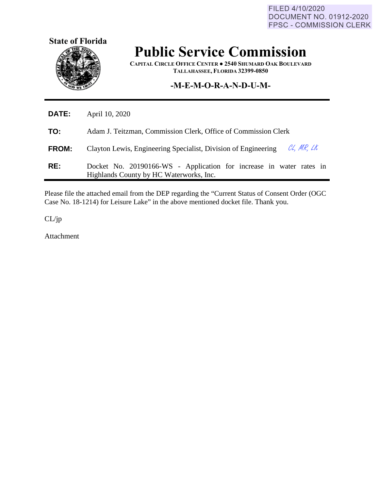FILED 4/10/2020 **DOCUMENT NO. 01912-2020 FPSC - COMMISSION CLERK** 



## **Public Service Commission**

**CAPITAL CIRCLE OFFICE CENTER ● 2540 SHUMARD OAK BOULEVARD TALLAHASSEE, FLORIDA 32399-0850**

## **-M-E-M-O-R-A-N-D-U-M-**

| <b>DATE:</b> | April 10, 2020                                                                                                 |
|--------------|----------------------------------------------------------------------------------------------------------------|
| TO:          | Adam J. Teitzman, Commission Clerk, Office of Commission Clerk                                                 |
| <b>FROM:</b> | CL, MR, LK<br>Clayton Lewis, Engineering Specialist, Division of Engineering                                   |
| RE:          | Docket No. 20190166-WS - Application for increase in water rates in<br>Highlands County by HC Waterworks, Inc. |

Please file the attached email from the DEP regarding the "Current Status of Consent Order (OGC Case No. 18-1214) for Leisure Lake" in the above mentioned docket file. Thank you.

CL/jp

Attachment